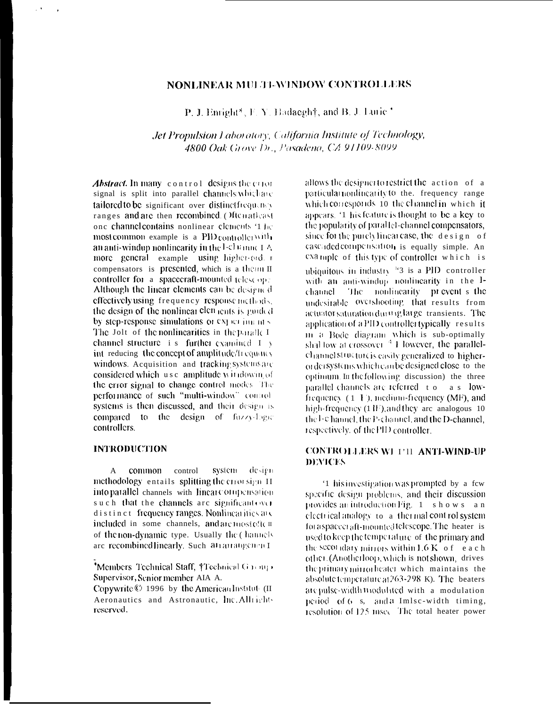# **NONLINEAR MULTI-WINDOW CONTROLLERS**

P. J. Enright<sup>\*</sup>, F. Y. Badaegh<sup>†</sup>, and B. J. Lurie<sup>+</sup>

Jet Propulsion Laboratory, California Institute of Technology, 4800 Oak Grove Dr., Pasadeno, CA 91109-8099

**Abstract.** In many control designs the consignal is split into parallel channels which are tailored to be significant over distinctfrequancy ranges and are then recombined. Often atleast one channel contains nonlinear elements '1 he most common example is a  $PID$  controller with an anti-windop nonlinearity in the l- $\mathcal{O}$  tanne I  $\Delta$ more general example using higher-ord. compensators is presented, which is a therm II controller for a spacecraft-mounted telescope Although the linear elements can be designed effectively using frequency response methods. the design of the nonlinear elements is goided by step-response simulations or experiments. The Jolt of the nonlinearities in the paralle I. channel structure i s further examined  $I \rightarrow$ int reducing the concept of amplitude/frequency windows. Acquisition and tracking systems are considered which use amplitude withdowin of the error signal to change control modes. The performance of such "multi-window" control systems is then discussed, and their design is compared to the design of fuzzy-logic controllers.

# **INTRODUCTION**

design A common control system methodology entails splitting the error sign II into parallel channels with linear compensation such that the channels are significant over distinct frequency ranges. Nonlinearities are included in some channels, and are most often of the non-dynamic type. Usually the channels are recombined linearly. Such at ratrangement

\*Members Technical Staff, †Technical Garaga Supervisor, Senior member AIA A.

Copywrite © 1996 by the American Institute (II Aeronautics and Astronautic, Inc. Allrightreserved.

allows the designer to restrict the action of a particular nonlinearity to the. frequency range which corresponds 10 the channel in which it appears. '1 his feature is thought to be a key to the popularity of parallel-channel compensators. since for the purch linear case, the design of cascaded compensation is equally simple. An example of this type of controller which is ubiouitous in industry  $^{14}$ 3 is a PID controller with an anti-windup nonlinearity in the I-The nonlinearity prevent s the channel undesitable overshooting that results from actuator saturation during large transients. The application of a PID controller typically results in a Bode diagram which is sub-optimally<br>shallow at crossover <sup>4</sup> However, the parallelchannelstructure is easily generalized to higherorder systems which can be designed close to the optimum. In the following discussion) the three parallel channels are referred to as lowfrequency  $(1, \mathbf{F})$ , medium-frequency (MF), and high-frequency  $(1 \text{ IF})$ , and they are analogous 10 the I-c hannel, the P-channel, and the D-channel, respectively, of the PID controller,

# CONTROLLERS WI 1'11 ANTI-WIND-UP **DEVICES**

'1 his investigation was prompted by a few specific design problems, and their discussion provides an introduction Fig. 1 shows an electrical analogy to a thermal control system for a spacecraft-mounted telescope. The heater is used to keep the temperature of the primary and the secondary mirrors within 1.6 K of each other. (Anotherloop, which is not shown, drives the primary mirror heater which maintains the absolute temperature at 263-298 K). The beaters are pulse-width B todulated with a modulation period of 6 s, and a Imlse-width timing, resolution of 125 msec. The total heater power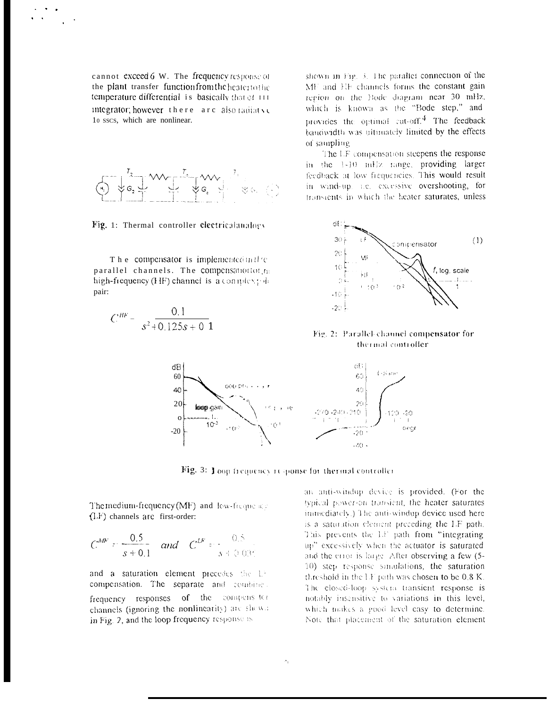cannot exceed 6 W. The frequency response of the plant transfer function from the heaterto the temperature differential is basically that ef III integrator; however there are also radiative 10 sscs, which are nonlinear.



Fig. 1: Thermal controller electricalanalogy

The compensator is implemented in the parallel channels. The compensation of the high-frequency (HF) channel is a complex; de pair:

$$
C^{HF} = \frac{0.1}{s^2 + 0.125s + 0.1}
$$

shown in Fig.  $\beta$ . The parallel connection of the MF and EF channels forms the constant gain region on the Bode diagram near 30 mHz, which is known as the "Bode step," and provides the optimal cut-off.<sup>4</sup> The feedback banowidth was ultimately limited by the effects of sampling

The LF compensation steepens the response in the 1-10 mHz range, providing larger feedback at low frequencies. This would result in wind-up, i.e. excessive overshooting, for transients in which the heater saturates, unless



Fig. 2: Parallel channel compensator for thermal controller



Fig. 3: Yoon frequency response for thermal controller

The medium-frequency (MF) and low-frequency  $(LF)$  channels are first-order:

$$
C^{MP} = \frac{0.5}{s + 0.1}
$$
 and  $C^{LP} = \frac{0.5}{s + 0.035}$ 

and a saturation element precedes the LF compensation. The separate and combine frequency responses of the compensate channels (ignoring the nonlinearity) are shown in Fig. 2, and the loop frequency response is

an anti-windup device is provided. (For the typical power-on transient, the heater saturates immediately.) The anti-windup device used here is a saturation element preceding the LF path. This prevents the LF path from "integrating up" excessively when the actuator is saturated and the error is large. After observing a few (5-10) step response simulations, the saturation threshold in the LF path was chosen to be  $0.8$  K. The closed-loop system transient response is notably insensitive to variations in this level, which makes a good level easy to determine. Note that placement of the saturation element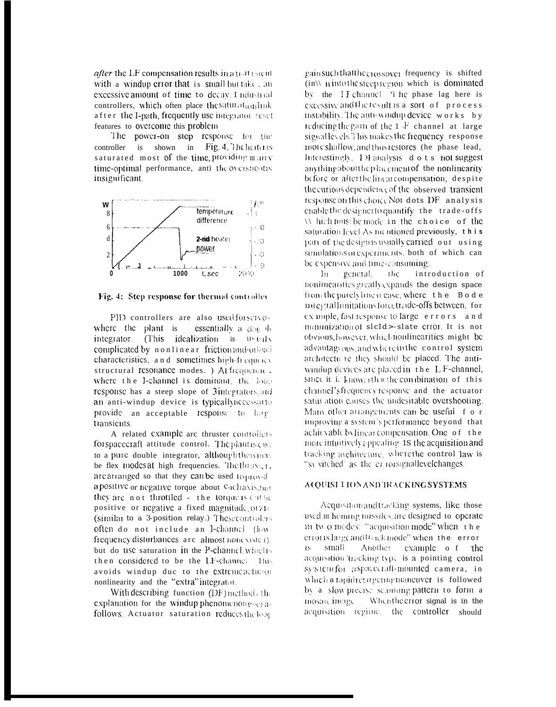*after* the LF compensation results in a patrolent with a windup error that is small but take, an excessive amount of time to decay. I ndustrial controllers, which often place the saturation link after the I-path, frequently use integrator reset features to overcome this problem

The power-on step response for the controller is shown in Fig. 4. The heater is saturated most of the time providing many time-optimal performance, anti-theoversnootis insignificant.



#### Fig. 4: Step response for thermal controller

PID controllers are also used for servos where the plant is essentially a  $d_{\text{OH}}$  de integrator. (This idealization is usuals complicated by nonlinear friction and/orload characteristics, and sometimes high-frequency structural resonance modes. ) At frequence. where the I-channel is dominant, the loop response has a steep slope of 3integrators and an anti-windup device is typically necessarto provide an acceptable response to large transients.

A related example are thruster controllers for spacecraft attitude control. The plantisess: to a pure double integrator, although there may be flex modes at high frequencies. The three sets are arranged so that they can be used to provel apositive or negative torque about Cichavis, but they are not throttled - the torque is cuthe positive or negative a fixed magnitude orzi-(similar to a 3-position relay.) These control  $\sim$ often do not include an I-channel (low frequency disturbances are almost nonesisted. but do use saturation in the P-channel which then considered to be the LF-channel 1hs avoids windup due to the extremeactured nonlinearity and the "extra"integrator.

With describing function (DF) method, the explanation for the windup phenomenongoesas follows. Actuator saturation reduces the loop

gain such that the crossover frequency is shifted  $\langle$  in  $\rangle$  minto the steep region which is dominated by the II channel 'i he phase lag here is excessive and the result is a sort of process instability. The anti-windup device works by reducing the gain of the 1 F channel at large signal levels This makes the frequency response more shallow, and thus restores (he phase lead, Interestingly, 1) Fanalysis dots not suggest anything about the placement of the nonlinearity before or after the linear compensation, despite the curious dependence of the observed transient response on this choice Not dots DF analysis enable the designer to quantify the trade-offs Which must be made in the choice of the saturation level As mentioned previously, this part of the designistically carried out using simulations or experiments, both of which can be expensive and time-consuming.

the introduction of  $\ln$ general, nonlinearities greatly expands the design space from the purelyline ir case, where the Bode integrallimitations forcetrade-offs between, for example, fast response to large errors and minimization of slcId>-slate error It is not obvious, however, which nonlinearities might be advantageous, and where in the control system architectu re they should be placed. The antiwindup devices are placed in the L F-channel, since it i.  $k$ now<sub>1</sub> th  $\mathbb{R}$  the combination of this channel'sfrequency response and the actuator saturation causes the undesirable overshooting. Many other atrangements can be useful f o r improving a system's performance beyond that achit vable by linear compensation. One of the more intuitively appealing 18 the acquisition and tracking architecture, where the control law is "syvitched" as the errorsignallevelchanges.

#### ACQUISE1 ION AND TRACKING SYSTEMS

Acquisition and tracking systems, like those used in homing missiles, are designed to operate in two modes: "acquisition mode" when the error is large and track mode" when the error -small Another example o f the 18 acquisition tracking type is a pointing control system for aspaceciall-mounted camera, in which a tapidreting emigration ver is followed by a slow-precise scantaing pattern to form a mosaic intage-When the error signal is in the acquisition regime, the controller should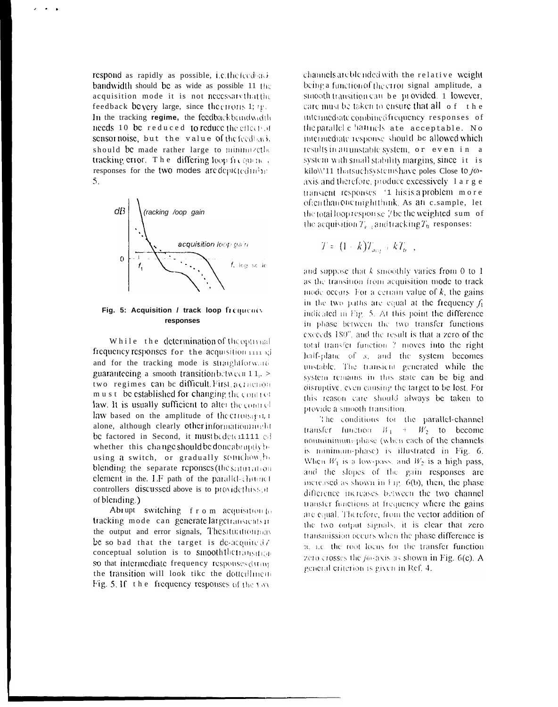respond as rapidly as possible, i.e.the feedback bandwidth should be as wide as possible 11 the acquisition mode it is not necessarythatthe feedback bevery large, since the cross 1;  $\psi$ . In the tracking regime, the feedbackbandwidth needs 10 be reduced to reduce the effects of sensor noise, but the value of the feedback should be made rather large to minimizeth. tracking error. The differing loop frequence, responses for the two modes are depicted in he- $5<sub>1</sub>$ 



## Fig. 5: Acquisition / track loop frequents responses

While the determination of the optimal frequency responses for the acquisition 1111 of and for the tracking mode is straightforward guaranteeing a smooth transition between  $11.$ two regimes can be difficult. First a criterion must be established for changing the control law. It is usually sufficient to alter the control law based on the amplitude of the criotsign, I alone, although clearly other informationmuld be factored in Second, it must be detert1111 col whether this change should be done abraptly by using a switch, or gradually soundhow, by blending the separate reponses (the saturation element in the  $LF$  path of the parallel-channel controllers discussed above is to provide this senof blending.)

Abrupt switching f r o m acquisition to tracking mode can generate largetransients in the output and error signals, The situation may be so bad that the target is de-acquited? conceptual solution is to smooththetransition so that intermediate frequency responses during the transition will look tike the dottedline in Fig. 5. If the frequency responses of the two

channels are blended with the relative weight being a function of the ctror signal amplitude, a statoth transition can be provided. 1 lowever, care must be taken to ensure that all of the intermediate combined frequency responses of the parallel c hannels ate acceptable. No intermediate response should be allowed which results in an unstable system, or even in a system with small stability margins, since it is kilo\\'11 that such systems have poles Close to /oaxis and therefore, produce excessively 1 a r g e transient responses '1 his is a problem more oftenthanone mightthuik. As an elsample, let the total loop response? be the weighted sum of the acquisition  $T_{\epsilon}$ , and tracking  $T_{\alpha}$  responses:

$$
T = (1 + k)T_{acq} + kT_{b-},
$$

and suppose that  $k$  smoothly varies from 0 to 1 as the transition from acquisition mode to track mode occurs. For a certain value of  $k$ , the gains in the two paths are equal at the frequency  $f_1$ indicated in Fig. 5. At this point the difference in phase between the two transfer functions exceeds 180°, and the result is that a zero of the total transfer function 7 moves into the right half-plane of s, and the system becomes unstable. The transicial generated while the system remains in this state can be big and disruptive, even causing the target to be lost. For this reason care should always be taken to provide a smooth transition.

The conditions for the parallel-channel transfer function  $W_1 + W_2$  to become nountinimum-phase (when each of the channels is minimum-phase) is illustrated in Fig. 6. When  $W_1$  is a low-pass, and  $W_2$  is a high pass, and the slopes of the gain responses are increased as shown in Fig.  $6(b)$ , then, the phase difference increases between the two channel transfer functions at frequency where the gains are equal. Therefore, from the vector addition of the two output signals, it is clear that zero transmission occurs when the phase difference is n. i.e. the root locus for the transfer function zero crosses the  $j\omega$ -axis as shown in Fig.  $6(c)$ . A general criterion is given in Ref. 4.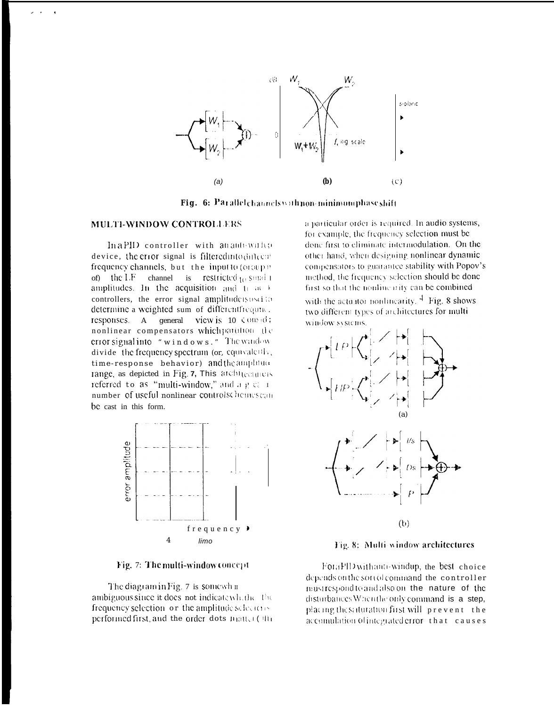

Fig. 6: Parallel channels with non-minimum phase shift

#### MULTI-WINDOW CONTROLLERS

In a PID controller with an autowarh p device, the error signal is filtered into difficult frequency channels, but the inputto (oroup): of) the LF channel is restricted to small amplitudes. In the acquisition and  $t_1$  at  $\pm$ controllers, the error signal amplitude is used to determine a weighted sum of differentfrequine. responses. A general view is  $10 \div 00$ : nonlinear compensators which patition the erior signal into "windows." The window divide the frequency spectrum (or, equivalently, time-response behavior) and the amphitute range, as depicted in Fig. 7, This architecturers referred to as "multi-window," and a g c = 1 number of useful nonlinear controlschemes can be cast in this form.



Fig. 7: The multi-window concept

The diagram in Fig. 7 is somewh n ambiguous since it does not indicate which the frequency selection or the amplitude selectors performed first, and the order dots matter ( the

a particular order is required. In audio systems, for example, the frequency selection must be done first to eliminate intermodulation. On the other hand, when designing nonlinear dynamic connensators to guarantee stability with Popov's method, the frequency selection should be done first so that the nonlinearity can be combined

with the actuator nonlinearity,  $\frac{4}{3}$  Fig. 8 shows two different types of architectures for multiwindow systems



Fig. 8: Multi-window architectures

ForaPID with anti-windup, the best choice depends on the sort of command the controller must respond to and also on the nature of the disturbances When the only command is a step, placing the saturation first will prevent the accomulation of integrated error that causes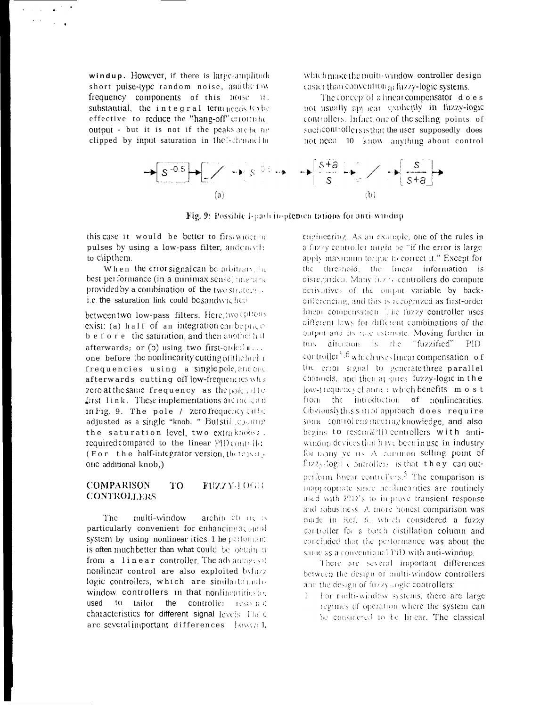windup. However, if there is large-amplitude short pulse-type random noise, and the inv frequency components of this noise me substantial, the integral term needs to be effective to reduce the "hang-off" criotinho output - but it is not if the peaks are being clipped by input saturation in the l-channel lin

which make the multi-window controller design easier than convention at fuzzy-logic systems.

The concept of a linear compensator does not usually applicate explicitly in fuzzy-logic controllers. Infact, one of the selling points of such controllers is that the user supposedly does not need 10 know anything about control



Fig. 9: Possible I-path in-plenten tations for anti-windup

this case it would be better to firsumocane pulses by using a low-pass filter, andcnmth: to clip them.

When the error signal can be arbitrary, the best per formance (in a minimax sense) ansent be provided by a combination of the two strategy. i.e. the saturation link could be sandwiched

between two low-pass filters. Here, two ephons exist: (a) half of an integration can be only b e f o r e the saturation, and then another h if afterwards; or (b) using two first-order in... one before the nonlinearity cutting of the highfrequencies using a single pole, and one afterwards cutting Off low-frequencies what zero at the same frequency as the pole, it to first link. These implementations are incident in Fig. 9. The pole / zero frequency cube adjusted as a single "knob. " But still counting the saturation level, two extraknobs: required compared to the linear PID controller (For the half-integrator version, there is a, one additional knob.)

#### **COMPARISON** TO FUZZY-1 OGIO **CONTROLLERS**

The multi-window archite cu ite is particularly convenient for enhancingacound system by using nonlinear ities. 1 he performant is often much better than what could be obtain a from a linear controller. The advantages of nonlinear control are also exploited byfuzz logic controllers, which are similar to moliwindow controllers in that nonlinearities as used to tailor the controller restwing characteristics for different signal levels. The e are several important differences howen 1, engineering. As an example, one of the rules in a fuzzy controller might be "if the error is large apply maximum torque to correct it." Except for the threshold, the linear information is disregarded. Many fuzzy controllers do compute derivatives of the output variable by backdifferencing, and this is recognized as first-order linear compensation. The fuzzy controller uses different laws for different combinations of the output and its rate estimate. Moving further in this direction is the "fuzzified" - PID controllet<sup>5</sup>,6</sup> which uses linear compensation of the error signal to generate three parallel channels, and then at lones fuzzy-logic in the low-trequency channe: which benefits m o s t from the introduction of nonlinearities. Obviously this sound approach does require some control caginecting knowledge, and also begins to resemble controllers with antiwindom devices that have been in use in industry for many years. A common selling point of fuzzy-logic controllers is that they can outperform linear controllers.<sup>5</sup> The comparison is inaporopriate since nonlinearities are routinely used with PID's to improve transient response and robustness. A more honest comparison was made in Ref. 6, which considered a fuzzy controller for a basch distillation column and concluded that the performance was about the same as a conventional PID with anti-windup.

There are several important differences between the design of multi-window controllers and the design of fuzzy-logic controllers:

For multi-window systems, there are large  $\mathbf{1}$ regimes of operation where the system can be considered to be linear. The classical